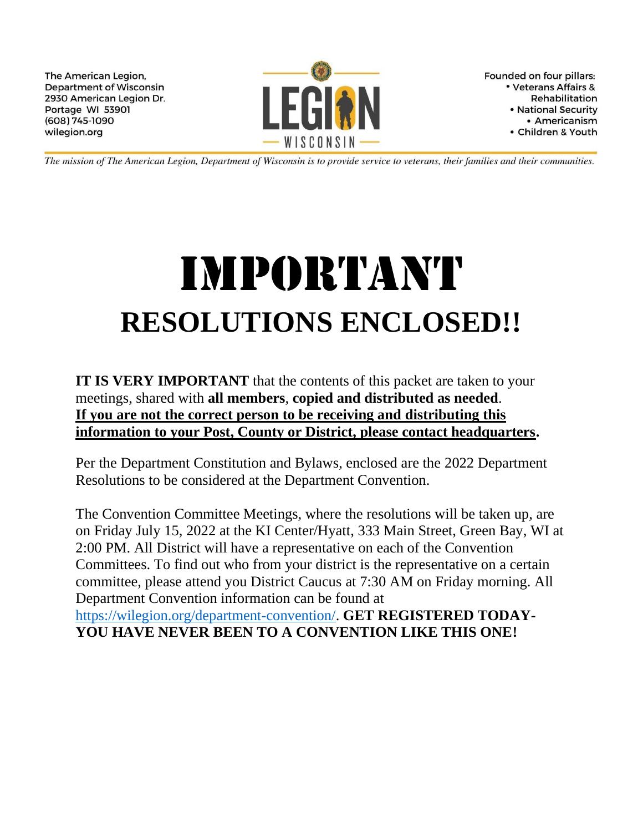The American Legion, Department of Wisconsin 2930 American Legion Dr. Portage WI 53901  $(608) 745 - 1090$ wilegion.org



Founded on four pillars: • Veterans Affairs & Rehabilitation • National Security • Americanism • Children & Youth

The mission of The American Legion, Department of Wisconsin is to provide service to veterans, their families and their communities.

# IMPORTANT **RESOLUTIONS ENCLOSED!!**

**IT IS VERY IMPORTANT** that the contents of this packet are taken to your meetings, shared with **all members**, **copied and distributed as needed**. **If you are not the correct person to be receiving and distributing this information to your Post, County or District, please contact headquarters.**

Per the Department Constitution and Bylaws, enclosed are the 2022 Department Resolutions to be considered at the Department Convention.

The Convention Committee Meetings, where the resolutions will be taken up, are on Friday July 15, 2022 at the KI Center/Hyatt, 333 Main Street, Green Bay, WI at 2:00 PM. All District will have a representative on each of the Convention Committees. To find out who from your district is the representative on a certain committee, please attend you District Caucus at 7:30 AM on Friday morning. All Department Convention information can be found at [https://wilegion.org/department-convention/.](https://wilegion.org/department-convention/) **GET REGISTERED TODAY-YOU HAVE NEVER BEEN TO A CONVENTION LIKE THIS ONE!**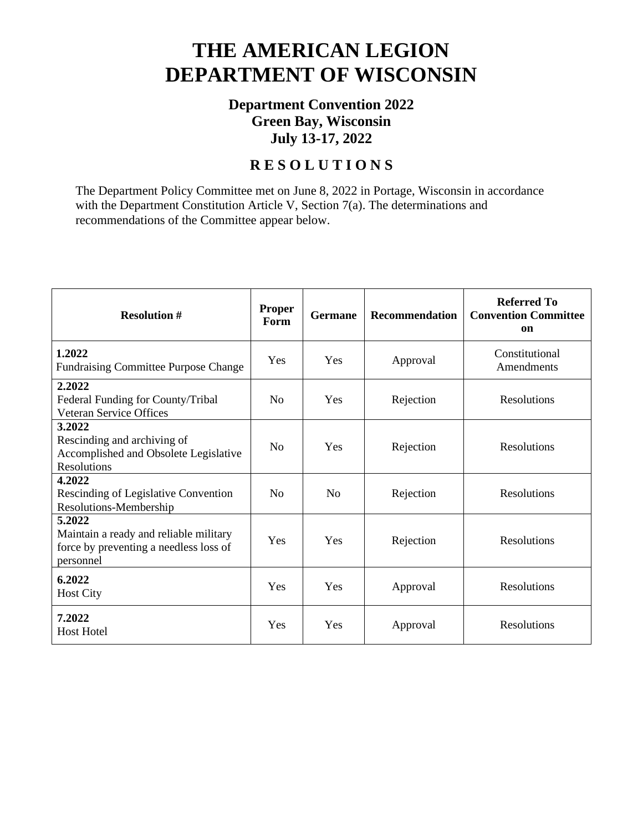# **THE AMERICAN LEGION DEPARTMENT OF WISCONSIN**

## **Department Convention 2022 Green Bay, Wisconsin July 13-17, 2022**

# **R E S O L U T I O N S**

The Department Policy Committee met on June 8, 2022 in Portage, Wisconsin in accordance with the Department Constitution Article V, Section 7(a). The determinations and recommendations of the Committee appear below.

| <b>Resolution #</b>                                                                                     | <b>Proper</b><br><b>Form</b> | <b>Germane</b> | Recommendation | Referred To<br><b>Convention Committee</b><br><b>on</b> |
|---------------------------------------------------------------------------------------------------------|------------------------------|----------------|----------------|---------------------------------------------------------|
| 1.2022<br><b>Fundraising Committee Purpose Change</b>                                                   | Yes                          | Yes            | Approval       | Constitutional<br>Amendments                            |
| 2.2022<br>Federal Funding for County/Tribal<br><b>Veteran Service Offices</b>                           | No                           | Yes            | Rejection      | Resolutions                                             |
| 3.2022<br>Rescinding and archiving of<br>Accomplished and Obsolete Legislative<br><b>Resolutions</b>    | N <sub>0</sub>               | Yes            | Rejection      | Resolutions                                             |
| 4.2022<br>Rescinding of Legislative Convention<br>Resolutions-Membership                                | No                           | No             | Rejection      | Resolutions                                             |
| 5.2022<br>Maintain a ready and reliable military<br>force by preventing a needless loss of<br>personnel | Yes                          | Yes            | Rejection      | Resolutions                                             |
| 6.2022<br><b>Host City</b>                                                                              | Yes                          | Yes            | Approval       | Resolutions                                             |
| 7.2022<br><b>Host Hotel</b>                                                                             | Yes                          | Yes            | Approval       | Resolutions                                             |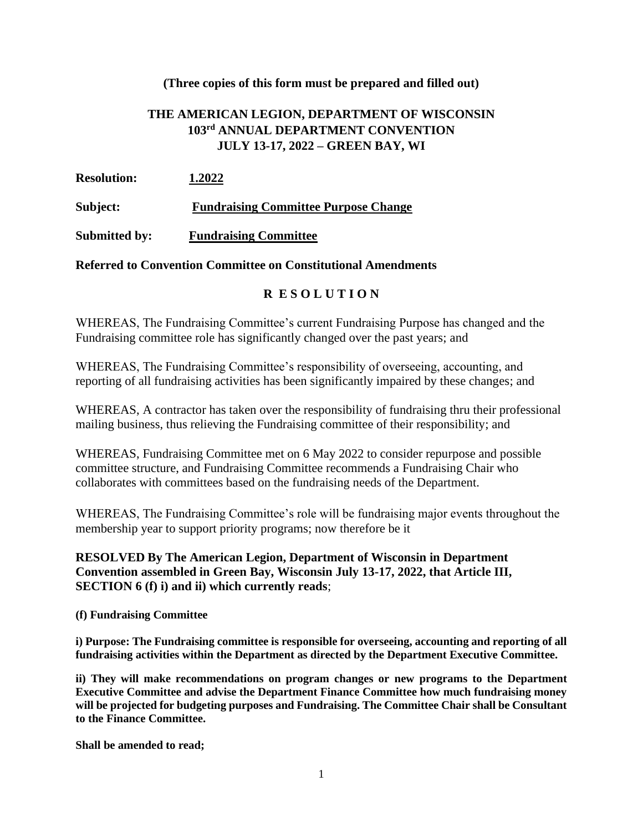#### **THE AMERICAN LEGION, DEPARTMENT OF WISCONSIN 103 rd ANNUAL DEPARTMENT CONVENTION JULY 13-17, 2022 – GREEN BAY, WI**

| <b>Resolution:</b>   | 1.2022                                      |
|----------------------|---------------------------------------------|
| Subject:             | <b>Fundraising Committee Purpose Change</b> |
| <b>Submitted by:</b> | <b>Fundraising Committee</b>                |

#### **Referred to Convention Committee on Constitutional Amendments**

#### **R E S O L U T I O N**

WHEREAS, The Fundraising Committee's current Fundraising Purpose has changed and the Fundraising committee role has significantly changed over the past years; and

WHEREAS, The Fundraising Committee's responsibility of overseeing, accounting, and reporting of all fundraising activities has been significantly impaired by these changes; and

WHEREAS, A contractor has taken over the responsibility of fundraising thru their professional mailing business, thus relieving the Fundraising committee of their responsibility; and

WHEREAS, Fundraising Committee met on 6 May 2022 to consider repurpose and possible committee structure, and Fundraising Committee recommends a Fundraising Chair who collaborates with committees based on the fundraising needs of the Department.

WHEREAS, The Fundraising Committee's role will be fundraising major events throughout the membership year to support priority programs; now therefore be it

#### **RESOLVED By The American Legion, Department of Wisconsin in Department Convention assembled in Green Bay, Wisconsin July 13-17, 2022, that Article III, SECTION 6 (f) i) and ii) which currently reads**;

**(f) Fundraising Committee**

**i) Purpose: The Fundraising committee is responsible for overseeing, accounting and reporting of all fundraising activities within the Department as directed by the Department Executive Committee.** 

**ii) They will make recommendations on program changes or new programs to the Department Executive Committee and advise the Department Finance Committee how much fundraising money will be projected for budgeting purposes and Fundraising. The Committee Chair shall be Consultant to the Finance Committee.**

**Shall be amended to read;**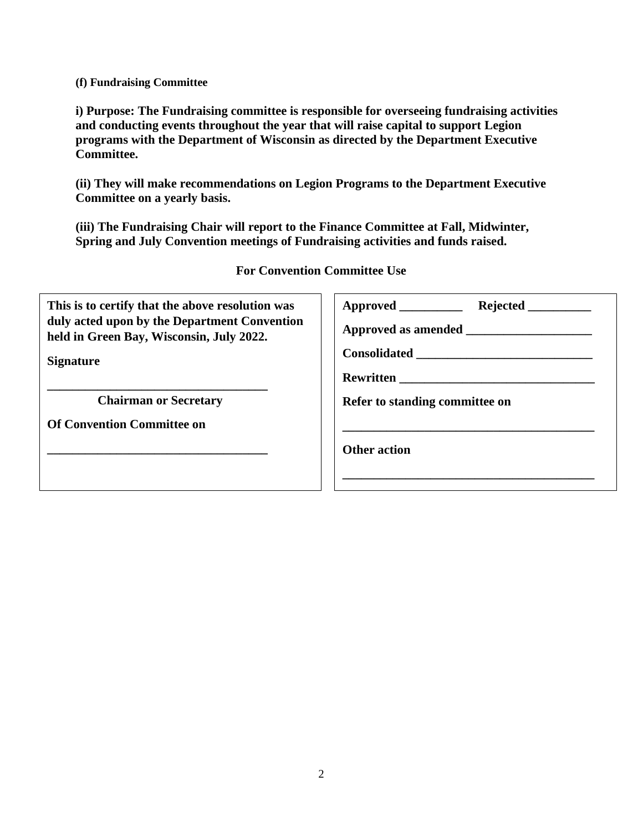#### **(f) Fundraising Committee**

**i) Purpose: The Fundraising committee is responsible for overseeing fundraising activities and conducting events throughout the year that will raise capital to support Legion programs with the Department of Wisconsin as directed by the Department Executive Committee.** 

**(ii) They will make recommendations on Legion Programs to the Department Executive Committee on a yearly basis.**

**(iii) The Fundraising Chair will report to the Finance Committee at Fall, Midwinter, Spring and July Convention meetings of Fundraising activities and funds raised.**

| This is to certify that the above resolution was                                         |                                |
|------------------------------------------------------------------------------------------|--------------------------------|
| duly acted upon by the Department Convention<br>held in Green Bay, Wisconsin, July 2022. |                                |
| <b>Signature</b>                                                                         |                                |
|                                                                                          |                                |
| <b>Chairman or Secretary</b>                                                             | Refer to standing committee on |
| <b>Of Convention Committee on</b>                                                        |                                |
|                                                                                          | <b>Other action</b>            |

**\_\_\_\_\_\_\_\_\_\_\_\_\_\_\_\_\_\_\_\_\_\_\_\_\_\_\_\_\_\_\_\_\_\_\_\_\_\_\_\_**

**For Convention Committee Use**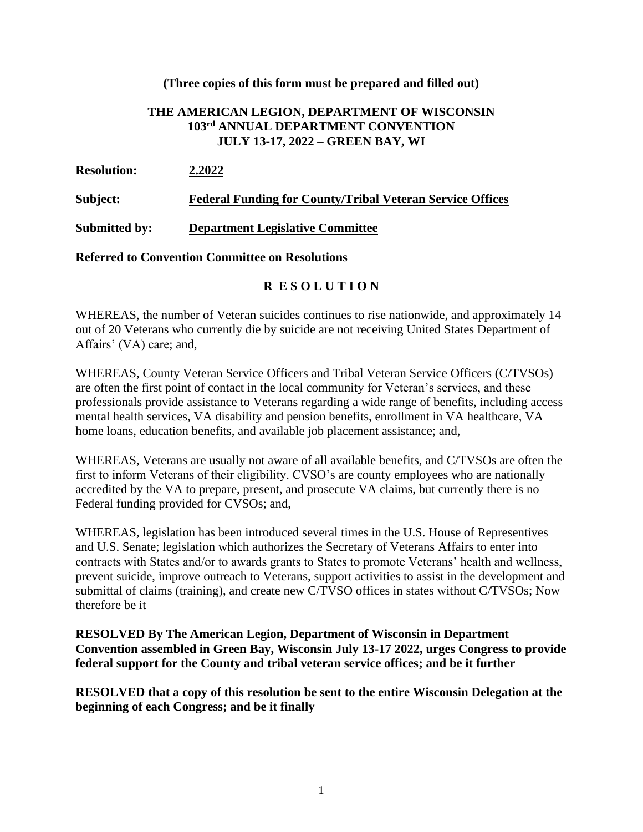#### **THE AMERICAN LEGION, DEPARTMENT OF WISCONSIN 103 rd ANNUAL DEPARTMENT CONVENTION JULY 13-17, 2022 – GREEN BAY, WI**

| <b>Resolution:</b> | 2.2022                                                           |
|--------------------|------------------------------------------------------------------|
| Subject:           | <b>Federal Funding for County/Tribal Veteran Service Offices</b> |
| Submitted by:      | <b>Department Legislative Committee</b>                          |

#### **Referred to Convention Committee on Resolutions**

#### **R E S O L U T I O N**

WHEREAS, the number of Veteran suicides continues to rise nationwide, and approximately 14 out of 20 Veterans who currently die by suicide are not receiving United States Department of Affairs' (VA) care; and,

WHEREAS, County Veteran Service Officers and Tribal Veteran Service Officers (C/TVSOs) are often the first point of contact in the local community for Veteran's services, and these professionals provide assistance to Veterans regarding a wide range of benefits, including access mental health services, VA disability and pension benefits, enrollment in VA healthcare, VA home loans, education benefits, and available job placement assistance; and,

WHEREAS, Veterans are usually not aware of all available benefits, and C/TVSOs are often the first to inform Veterans of their eligibility. CVSO's are county employees who are nationally accredited by the VA to prepare, present, and prosecute VA claims, but currently there is no Federal funding provided for CVSOs; and,

WHEREAS, legislation has been introduced several times in the U.S. House of Representives and U.S. Senate; legislation which authorizes the Secretary of Veterans Affairs to enter into contracts with States and/or to awards grants to States to promote Veterans' health and wellness, prevent suicide, improve outreach to Veterans, support activities to assist in the development and submittal of claims (training), and create new C/TVSO offices in states without C/TVSOs; Now therefore be it

**RESOLVED By The American Legion, Department of Wisconsin in Department Convention assembled in Green Bay, Wisconsin July 13-17 2022, urges Congress to provide federal support for the County and tribal veteran service offices; and be it further**

**RESOLVED that a copy of this resolution be sent to the entire Wisconsin Delegation at the beginning of each Congress; and be it finally**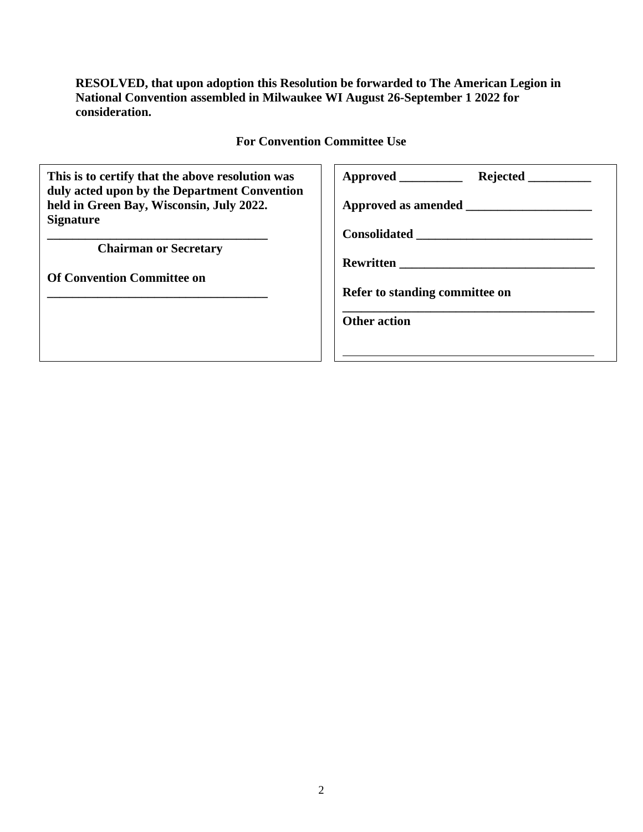**RESOLVED, that upon adoption this Resolution be forwarded to The American Legion in National Convention assembled in Milwaukee WI August 26-September 1 2022 for consideration.**

**For Convention Committee Use**

**This is to certify that the above resolution was duly acted upon by the Department Convention held in Green Bay, Wisconsin, July 2022. Signature**

**\_\_\_\_\_\_\_\_\_\_\_\_\_\_\_\_\_\_\_\_\_\_\_\_\_\_\_\_\_\_\_\_\_\_\_ Chairman or Secretary**

**\_\_\_\_\_\_\_\_\_\_\_\_\_\_\_\_\_\_\_\_\_\_\_\_\_\_\_\_\_\_\_\_\_\_\_**

| Approved __________            | Rejected ___________ |  |
|--------------------------------|----------------------|--|
|                                |                      |  |
|                                |                      |  |
| Rewritten                      |                      |  |
| Refer to standing committee on |                      |  |
| <b>Other action</b>            |                      |  |
|                                |                      |  |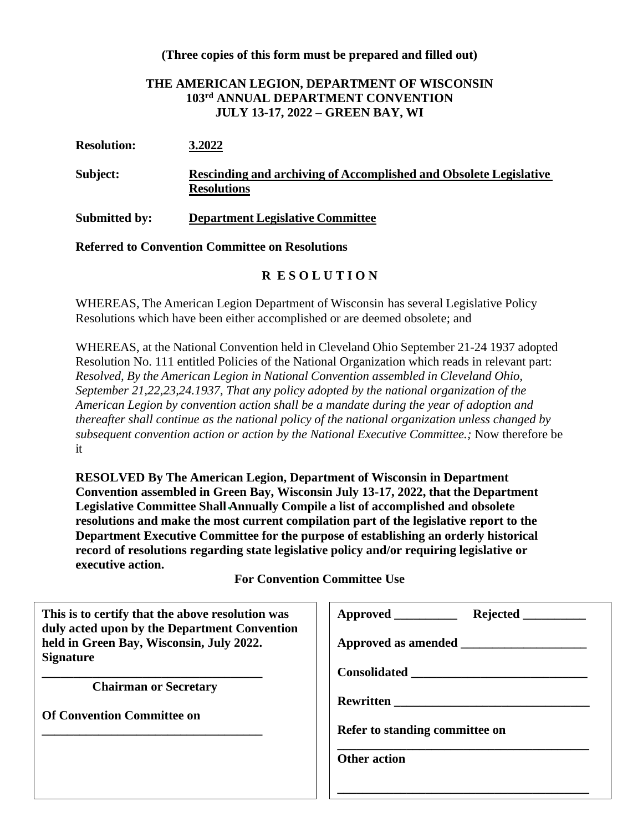#### **THE AMERICAN LEGION, DEPARTMENT OF WISCONSIN 103 rd ANNUAL DEPARTMENT CONVENTION JULY 13-17, 2022 – GREEN BAY, WI**

| <b>Resolution:</b> | 3.2022 |
|--------------------|--------|
|                    |        |

- **Subject: Rescinding and archiving of Accomplished and Obsolete Legislative Resolutions**
- **Submitted by: Department Legislative Committee**

**Referred to Convention Committee on Resolutions**

#### **R E S O L U T I O N**

WHEREAS, The American Legion Department of Wisconsin has several Legislative Policy Resolutions which have been either accomplished or are deemed obsolete; and

WHEREAS, at the National Convention held in Cleveland Ohio September 21-24 1937 adopted Resolution No. 111 entitled Policies of the National Organization which reads in relevant part: *Resolved, By the American Legion in National Convention assembled in Cleveland Ohio, September 21,22,23,24.1937, That any policy adopted by the national organization of the American Legion by convention action shall be a mandate during the year of adoption and thereafter shall continue as the national policy of the national organization unless changed by subsequent convention action or action by the National Executive Committee.;* Now therefore be it

**RESOLVED By The American Legion, Department of Wisconsin in Department Convention assembled in Green Bay, Wisconsin July 13-17, 2022, that the Department Legislative Committee Shall Annually Compile a list of accomplished and obsolete resolutions and make the most current compilation part of the legislative report to the Department Executive Committee for the purpose of establishing an orderly historical record of resolutions regarding state legislative policy and/or requiring legislative or executive action.**

**For Convention Committee Use**

| This is to certify that the above resolution was<br>duly acted upon by the Department Convention | Approved __________                                                                                                                                                                                                                  |
|--------------------------------------------------------------------------------------------------|--------------------------------------------------------------------------------------------------------------------------------------------------------------------------------------------------------------------------------------|
| held in Green Bay, Wisconsin, July 2022.<br><b>Signature</b>                                     | Approved as amended <b>the contract of the contract of the contract of the contract of the contract of the contract of the contract of the contract of the contract of the contract of the contract of the contract of the contr</b> |
|                                                                                                  |                                                                                                                                                                                                                                      |
| <b>Chairman or Secretary</b>                                                                     |                                                                                                                                                                                                                                      |
| <b>Of Convention Committee on</b>                                                                |                                                                                                                                                                                                                                      |
|                                                                                                  | Refer to standing committee on                                                                                                                                                                                                       |
|                                                                                                  | <b>Other action</b>                                                                                                                                                                                                                  |
|                                                                                                  |                                                                                                                                                                                                                                      |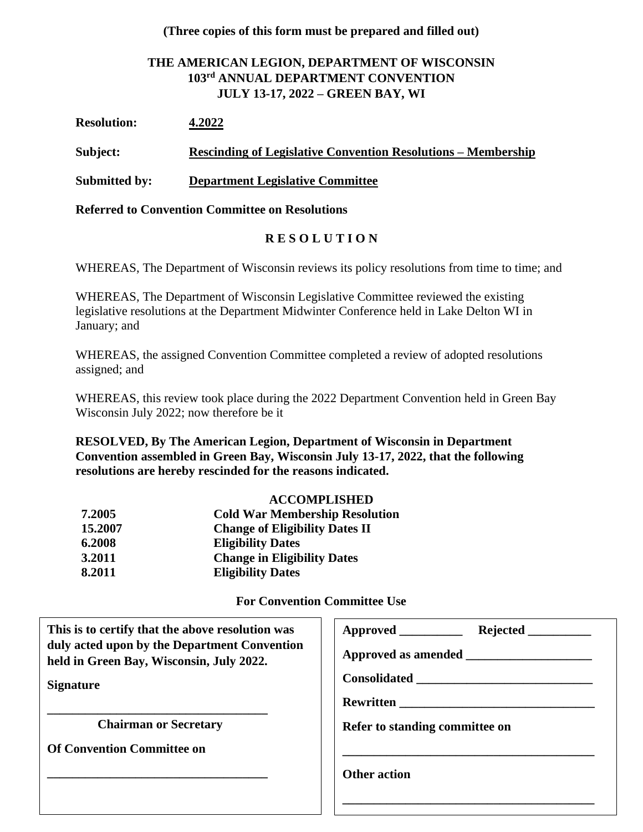#### **THE AMERICAN LEGION, DEPARTMENT OF WISCONSIN 103 rd ANNUAL DEPARTMENT CONVENTION JULY 13-17, 2022 – GREEN BAY, WI**

| <b>Resolution:</b>   | 4.2022                                                               |
|----------------------|----------------------------------------------------------------------|
| Subject:             | <b>Rescinding of Legislative Convention Resolutions – Membership</b> |
| <b>Submitted by:</b> | <b>Department Legislative Committee</b>                              |

#### **Referred to Convention Committee on Resolutions**

#### **R E S O L U T I O N**

WHEREAS, The Department of Wisconsin reviews its policy resolutions from time to time; and

WHEREAS, The Department of Wisconsin Legislative Committee reviewed the existing legislative resolutions at the Department Midwinter Conference held in Lake Delton WI in January; and

WHEREAS, the assigned Convention Committee completed a review of adopted resolutions assigned; and

WHEREAS, this review took place during the 2022 Department Convention held in Green Bay Wisconsin July 2022; now therefore be it

**RESOLVED, By The American Legion, Department of Wisconsin in Department Convention assembled in Green Bay, Wisconsin July 13-17, 2022, that the following resolutions are hereby rescinded for the reasons indicated.**

|         | <b>ACCOMPLISHED</b>                   |
|---------|---------------------------------------|
| 7.2005  | <b>Cold War Membership Resolution</b> |
| 15.2007 | <b>Change of Eligibility Dates II</b> |
| 6.2008  | <b>Eligibility Dates</b>              |
| 3.2011  | <b>Change in Eligibility Dates</b>    |
| 8.2011  | <b>Eligibility Dates</b>              |
|         |                                       |

**For Convention Committee Use**

**This is to certify that the above resolution was duly acted upon by the Department Convention held in Green Bay, Wisconsin, July 2022.**

**Signature**

**\_\_\_\_\_\_\_\_\_\_\_\_\_\_\_\_\_\_\_\_\_\_\_\_\_\_\_\_\_\_\_\_\_\_\_ Chairman or Secretary**

**\_\_\_\_\_\_\_\_\_\_\_\_\_\_\_\_\_\_\_\_\_\_\_\_\_\_\_\_\_\_\_\_\_\_\_**

| Refer to standing committee on |  |
|--------------------------------|--|
| <b>Other action</b>            |  |
|                                |  |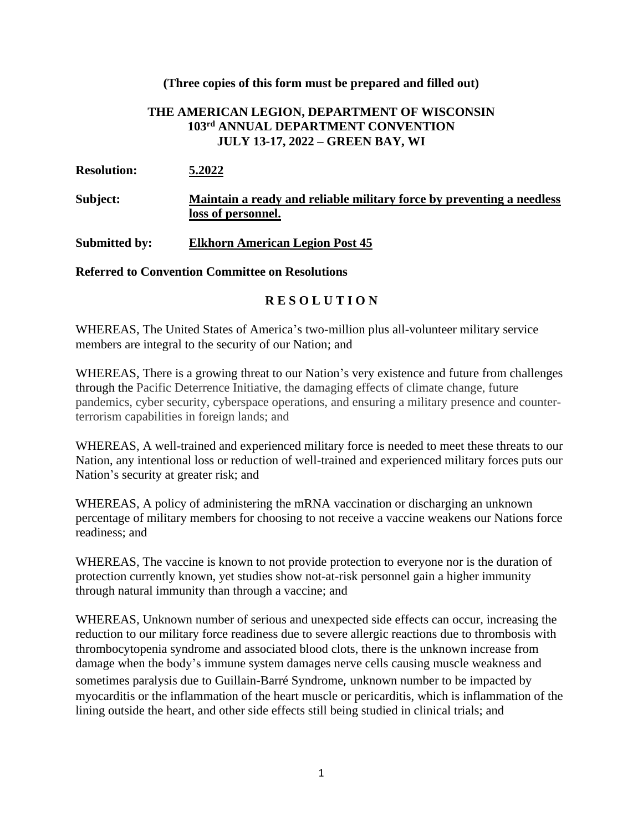#### **THE AMERICAN LEGION, DEPARTMENT OF WISCONSIN 103 rd ANNUAL DEPARTMENT CONVENTION JULY 13-17, 2022 – GREEN BAY, WI**

| <b>Resolution:</b>   | 5.2022                                                                                      |
|----------------------|---------------------------------------------------------------------------------------------|
| Subject:             | Maintain a ready and reliable military force by preventing a needless<br>loss of personnel. |
| <b>Submitted by:</b> | <b>Elkhorn American Legion Post 45</b>                                                      |

#### **Referred to Convention Committee on Resolutions**

#### **R E S O L U T I O N**

WHEREAS, The United States of America's two-million plus all-volunteer military service members are integral to the security of our Nation; and

WHEREAS, There is a growing threat to our Nation's very existence and future from challenges through the Pacific Deterrence Initiative, the damaging effects of climate change, future pandemics, cyber security, cyberspace operations, and ensuring a military presence and counterterrorism capabilities in foreign lands; and

WHEREAS, A well-trained and experienced military force is needed to meet these threats to our Nation, any intentional loss or reduction of well-trained and experienced military forces puts our Nation's security at greater risk; and

WHEREAS, A policy of administering the mRNA vaccination or discharging an unknown percentage of military members for choosing to not receive a vaccine weakens our Nations force readiness; and

WHEREAS, The vaccine is known to not provide protection to everyone nor is the duration of protection currently known, yet studies show not-at-risk personnel gain a higher immunity through natural immunity than through a vaccine; and

WHEREAS, Unknown number of serious and unexpected side effects can occur, increasing the reduction to our military force readiness due to severe allergic reactions due to thrombosis with thrombocytopenia syndrome and associated blood clots, there is the unknown increase from damage when the body's immune system damages nerve cells causing muscle weakness and sometimes paralysis due to [Guillain-Barré Syndrome](https://www.cdc.gov/vaccinesafety/concerns/guillain-barre-syndrome.html), unknown number to be impacted by myocarditis or the inflammation of the heart muscle or pericarditis, which is inflammation of the lining outside the heart, and other side effects still being studied in clinical trials; and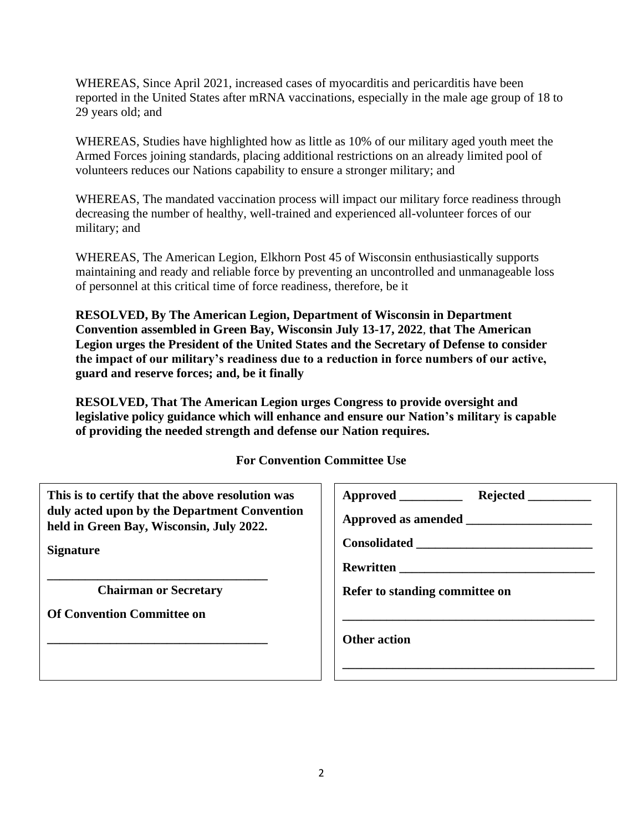WHEREAS, Since April 2021, increased cases of myocarditis and pericarditis have been reported in the United States after mRNA vaccinations, especially in the male age group of 18 to 29 years old; and

WHEREAS, Studies have highlighted how as little as 10% of our military aged youth meet the Armed Forces joining standards, placing additional restrictions on an already limited pool of volunteers reduces our Nations capability to ensure a stronger military; and

WHEREAS, The mandated vaccination process will impact our military force readiness through decreasing the number of healthy, well-trained and experienced all-volunteer forces of our military; and

WHEREAS, The American Legion, Elkhorn Post 45 of Wisconsin enthusiastically supports maintaining and ready and reliable force by preventing an uncontrolled and unmanageable loss of personnel at this critical time of force readiness, therefore, be it

**RESOLVED, By The American Legion, Department of Wisconsin in Department Convention assembled in Green Bay, Wisconsin July 13-17, 2022**, **that The American Legion urges the President of the United States and the Secretary of Defense to consider the impact of our military's readiness due to a reduction in force numbers of our active, guard and reserve forces; and, be it finally** 

**RESOLVED, That The American Legion urges Congress to provide oversight and legislative policy guidance which will enhance and ensure our Nation's military is capable of providing the needed strength and defense our Nation requires.**

**For Convention Committee Use**

**This is to certify that the above resolution was duly acted upon by the Department Convention held in Green Bay, Wisconsin, July 2022.**

**Signature**

**\_\_\_\_\_\_\_\_\_\_\_\_\_\_\_\_\_\_\_\_\_\_\_\_\_\_\_\_\_\_\_\_\_\_\_ Chairman or Secretary**

**\_\_\_\_\_\_\_\_\_\_\_\_\_\_\_\_\_\_\_\_\_\_\_\_\_\_\_\_\_\_\_\_\_\_\_**

| Approved ___________           |                                         |
|--------------------------------|-----------------------------------------|
|                                | Approved as amended <b>example 2000</b> |
|                                |                                         |
|                                |                                         |
| Refer to standing committee on |                                         |
|                                |                                         |
| <b>Other action</b>            |                                         |
|                                |                                         |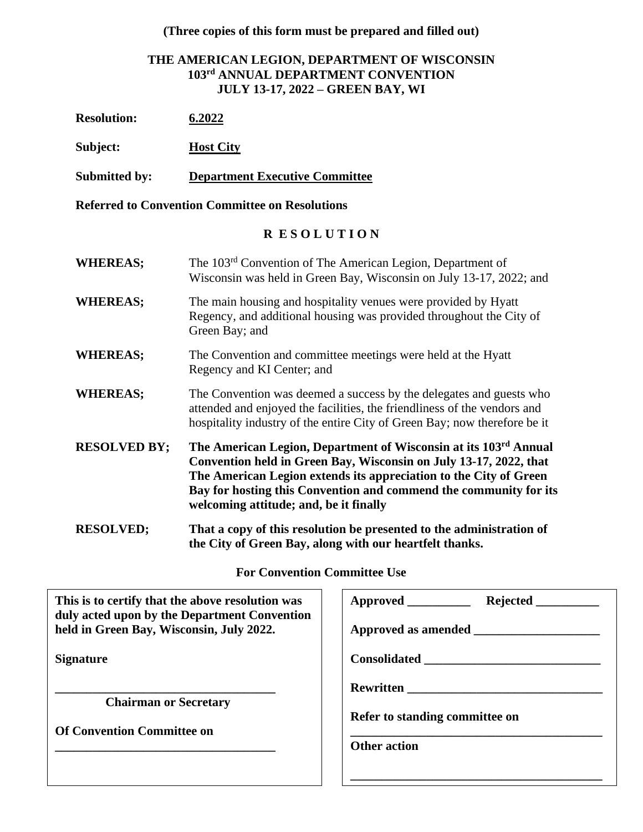#### **THE AMERICAN LEGION, DEPARTMENT OF WISCONSIN 103 rd ANNUAL DEPARTMENT CONVENTION JULY 13-17, 2022 – GREEN BAY, WI**

| <b>Resolution:</b>                                     | 6.2022                                                                                                                                                                                                                                                                                                                    |  |  |
|--------------------------------------------------------|---------------------------------------------------------------------------------------------------------------------------------------------------------------------------------------------------------------------------------------------------------------------------------------------------------------------------|--|--|
| Subject:                                               | <b>Host City</b>                                                                                                                                                                                                                                                                                                          |  |  |
| <b>Submitted by:</b>                                   | <b>Department Executive Committee</b>                                                                                                                                                                                                                                                                                     |  |  |
| <b>Referred to Convention Committee on Resolutions</b> |                                                                                                                                                                                                                                                                                                                           |  |  |
| <b>RESOLUTION</b>                                      |                                                                                                                                                                                                                                                                                                                           |  |  |
| <b>WHEREAS;</b>                                        | The 103 <sup>rd</sup> Convention of The American Legion, Department of<br>Wisconsin was held in Green Bay, Wisconsin on July 13-17, 2022; and                                                                                                                                                                             |  |  |
| <b>WHEREAS;</b>                                        | The main housing and hospitality venues were provided by Hyatt<br>Regency, and additional housing was provided throughout the City of<br>Green Bay; and                                                                                                                                                                   |  |  |
| <b>WHEREAS;</b>                                        | The Convention and committee meetings were held at the Hyatt<br>Regency and KI Center; and                                                                                                                                                                                                                                |  |  |
| <b>WHEREAS;</b>                                        | The Convention was deemed a success by the delegates and guests who<br>attended and enjoyed the facilities, the friendliness of the vendors and<br>hospitality industry of the entire City of Green Bay; now therefore be it                                                                                              |  |  |
| <b>RESOLVED BY;</b>                                    | The American Legion, Department of Wisconsin at its 103rd Annual<br>Convention held in Green Bay, Wisconsin on July 13-17, 2022, that<br>The American Legion extends its appreciation to the City of Green<br>Bay for hosting this Convention and commend the community for its<br>welcoming attitude; and, be it finally |  |  |
| <b>RESOLVED;</b>                                       | That a copy of this resolution be presented to the administration of<br>the City of Green Bay, along with our heartfelt thanks.                                                                                                                                                                                           |  |  |
| <b>For Convention Committee Use</b>                    |                                                                                                                                                                                                                                                                                                                           |  |  |

**This is to certify that the above resolution was duly acted upon by the Department Convention held in Green Bay, Wisconsin, July 2022.**

**Signature**

**\_\_\_\_\_\_\_\_\_\_\_\_\_\_\_\_\_\_\_\_\_\_\_\_\_\_\_\_\_\_\_\_\_\_\_ Chairman or Secretary**

**\_\_\_\_\_\_\_\_\_\_\_\_\_\_\_\_\_\_\_\_\_\_\_\_\_\_\_\_\_\_\_\_\_\_\_**

| Approved __________            |  |  |  |
|--------------------------------|--|--|--|
|                                |  |  |  |
|                                |  |  |  |
| Rewritten                      |  |  |  |
| Refer to standing committee on |  |  |  |
| <b>Other action</b>            |  |  |  |
|                                |  |  |  |